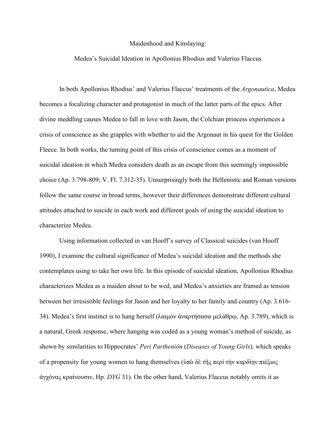## Maidenhood and Kinslaying:

## Medea's Suicidal Ideation in Apollonius Rhodius and Valerius Flaccus

In both Apollonius Rhodius' and Valerius Flaccus' treatments of the *Argonautica*, Medea becomes a focalizing character and protagonist in much of the latter parts of the epics. After divine meddling causes Medea to fall in love with Jason, the Colchian princess experiences a crisis of conscience as she grapples with whether to aid the Argonaut in his quest for the Golden Fleece. In both works, the turning point of this crisis of conscience comes as a moment of suicidal ideation in which Medea considers death as an escape from this seemingly impossible choice (Ap. 3.798-809; V. Fl. 7.312-35). Unsurprisingly both the Hellenistic and Roman versions follow the same course in broad terms, however their differences demonstrate different cultural attitudes attached to suicide in each work and different goals of using the suicidal ideation to characterize Medea.

Using information collected in van Hooff's survey of Classical suicides (van Hooff 1990), I examine the cultural significance of Medea's suicidal ideation and the methods she contemplates using to take her own life. In this episode of suicidal ideation, Apollonius Rhodius characterizes Medea as a maiden about to be wed, and Medea's anxieties are framed as tension between her irresistible feelings for Jason and her loyalty to her family and country (Ap. 3.616- 34). Medea's first instinct is to hang herself (λαιμὸν ἀναρτήσασα μελάθρω, Ap. 3.789), which is a natural, Greek response, where hanging was coded as a young woman's method of suicide, as shown by similarities to Hippocrates' *Peri Partheniôn* (*Diseases of Young Girls*)*,* which speaks of a propensity for young women to hang themselves (ὑπὸ δὲ τῆς περὶ τὴν καρδίην πιέξιος ἀγχόνας κραίνουσιν, Hp. *DYG* 31). On the other hand, Valerius Flaccus notably omits it as